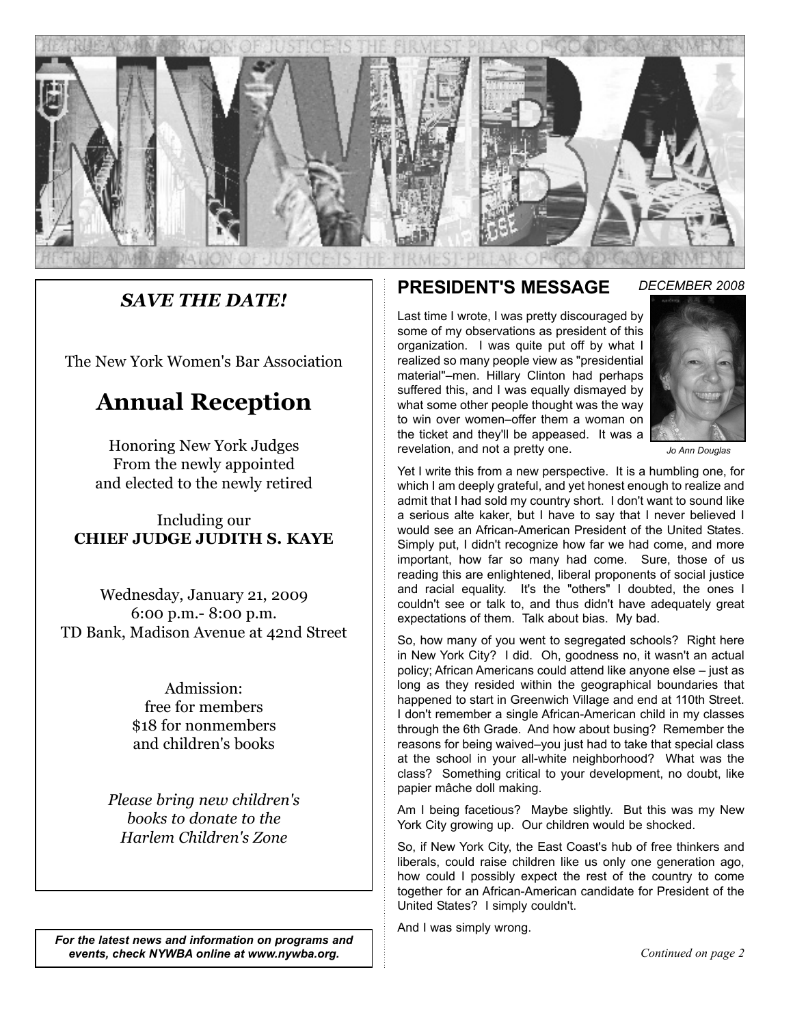

### *SAVE THE DATE!*

The New York Women's Bar Association

# **Annual Reception**

Honoring New York Judges From the newly appointed and elected to the newly retired

Including our **CHIEF JUDGE JUDITH S. KAYE**

Wednesday, January 21, 2009 6:00 p.m.- 8:00 p.m. TD Bank, Madison Avenue at 42nd Street

> Admission: free for members \$18 for nonmembers and children's books

*Please bring new children's books to donate to the Harlem Children's Zone*

### **PRESIDENT'S MESSAGE**

Last time I wrote, I was pretty discouraged by some of my observations as president of this organization. I was quite put off by what I realized so many people view as "presidential material"–men. Hillary Clinton had perhaps suffered this, and I was equally dismayed by what some other people thought was the way to win over women–offer them a woman on the ticket and they'll be appeased. It was a revelation, and not a pretty one.



*Jo Ann Douglas*

Yet I write this from a new perspective. It is a humbling one, for which I am deeply grateful, and yet honest enough to realize and admit that I had sold my country short. I don't want to sound like a serious alte kaker, but I have to say that I never believed I would see an African-American President of the United States. Simply put, I didn't recognize how far we had come, and more important, how far so many had come. Sure, those of us reading this are enlightened, liberal proponents of social justice and racial equality. It's the "others" I doubted, the ones I couldn't see or talk to, and thus didn't have adequately great expectations of them. Talk about bias. My bad.

So, how many of you went to segregated schools? Right here in New York City? I did. Oh, goodness no, it wasn't an actual policy; African Americans could attend like anyone else – just as long as they resided within the geographical boundaries that happened to start in Greenwich Village and end at 110th Street. I don't remember a single African-American child in my classes through the 6th Grade. And how about busing? Remember the reasons for being waived–you just had to take that special class at the school in your all-white neighborhood? What was the class? Something critical to your development, no doubt, like papier mâche doll making.

Am I being facetious? Maybe slightly. But this was my New York City growing up. Our children would be shocked.

So, if New York City, the East Coast's hub of free thinkers and liberals, could raise children like us only one generation ago, how could I possibly expect the rest of the country to come together for an African-American candidate for President of the United States? I simply couldn't.

And I was simply wrong.

*Continued on page 2*

*For the latest news and information on programs and events, check NYWBA online at www.nywba.org.*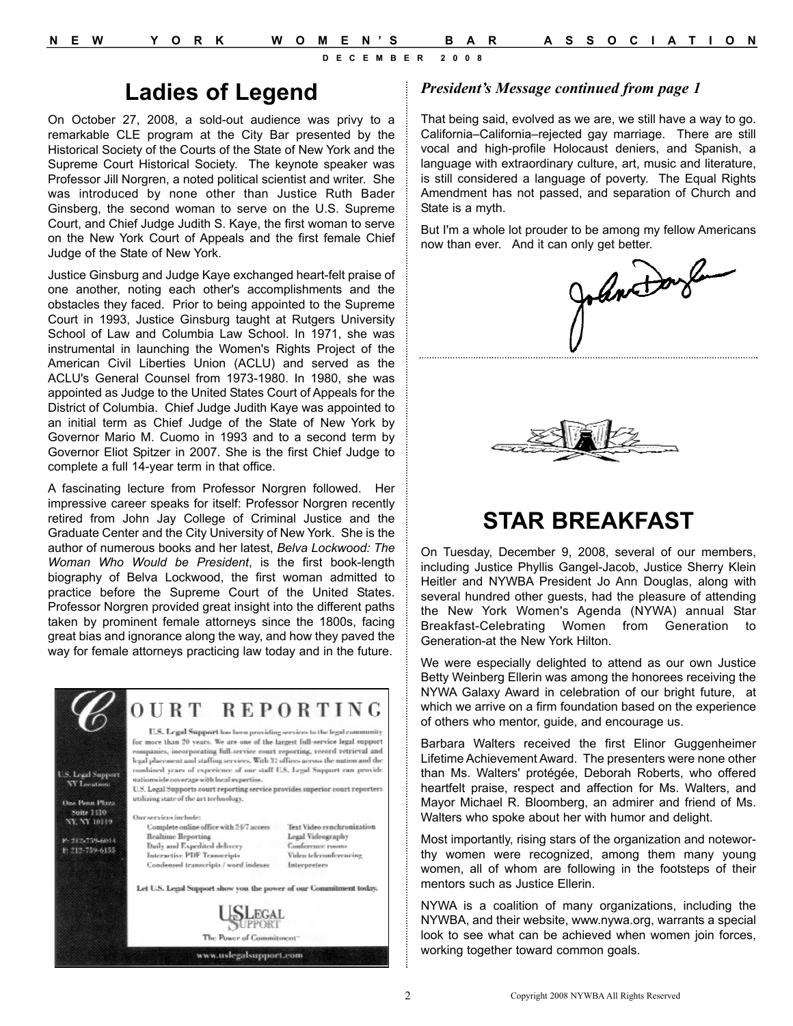## **Ladies of Legend**

On October 27, 2008, a sold-out audience was privy to a remarkable CLE program at the City Bar presented by the Historical Society of the Courts of the State of New York and the Supreme Court Historical Society. The keynote speaker was Professor Jill Norgren, a noted political scientist and writer. She was introduced by none other than Justice Ruth Bader Ginsberg, the second woman to serve on the U.S. Supreme Court, and Chief Judge Judith S. Kaye, the first woman to serve on the New York Court of Appeals and the first female Chief Judge of the State of New York.

Justice Ginsburg and Judge Kaye exchanged heart-felt praise of one another, noting each other's accomplishments and the obstacles they faced. Prior to being appointed to the Supreme Court in 1993, Justice Ginsburg taught at Rutgers University School of Law and Columbia Law School. In 1971, she was instrumental in launching the Women's Rights Project of the American Civil Liberties Union (ACLU) and served as the ACLU's General Counsel from 1973-1980. In 1980, she was appointed as Judge to the United States Court of Appeals for the District of Columbia. Chief Judge Judith Kaye was appointed to an initial term as Chief Judge of the State of New York by Governor Mario M. Cuomo in 1993 and to a second term by Governor Eliot Spitzer in 2007. She is the first Chief Judge to complete a full 14-year term in that office.

A fascinating lecture from Professor Norgren followed. Her impressive career speaks for itself: Professor Norgren recently retired from John Jay College of Criminal Justice and the Graduate Center and the City University of New York. She is the author of numerous books and her latest, *Belva Lockwood: The Woman Who Would be President*, is the first book-length biography of Belva Lockwood, the first woman admitted to practice before the Supreme Court of the United States. Professor Norgren provided great insight into the different paths taken by prominent female attorneys since the 1800s, facing great bias and ignorance along the way, and how they paved the way for female attorneys practicing law today and in the future.



#### *President's Message continued from page 1*

That being said, evolved as we are, we still have a way to go. California–California–rejected gay marriage. There are still vocal and high-profile Holocaust deniers, and Spanish, a language with extraordinary culture, art, music and literature, is still considered a language of poverty. The Equal Rights Amendment has not passed, and separation of Church and State is a myth.

But I'm a whole lot prouder to be among my fellow Americans





# **STAR BREAKFAST**

On Tuesday, December 9, 2008, several of our members, including Justice Phyllis Gangel-Jacob, Justice Sherry Klein Heitler and NYWBA President Jo Ann Douglas, along with several hundred other guests, had the pleasure of attending the New York Women's Agenda (NYWA) annual Star Breakfast-Celebrating Women from Generation Generation-at the New York Hilton.

We were especially delighted to attend as our own Justice Betty Weinberg Ellerin was among the honorees receiving the NYWA Galaxy Award in celebration of our bright future, at which we arrive on a firm foundation based on the experience of others who mentor, guide, and encourage us.

Barbara Walters received the first Elinor Guggenheimer Lifetime Achievement Award. The presenters were none other than Ms. Walters' protégée, Deborah Roberts, who offered heartfelt praise, respect and affection for Ms. Walters, and Mayor Michael R. Bloomberg, an admirer and friend of Ms. Walters who spoke about her with humor and delight.

Most importantly, rising stars of the organization and noteworthy women were recognized, among them many young women, all of whom are following in the footsteps of their mentors such as Justice Ellerin.

NYWA is a coalition of many organizations, including the NYWBA, and their website, www.nywa.org, warrants a special look to see what can be achieved when women join forces, working together toward common goals.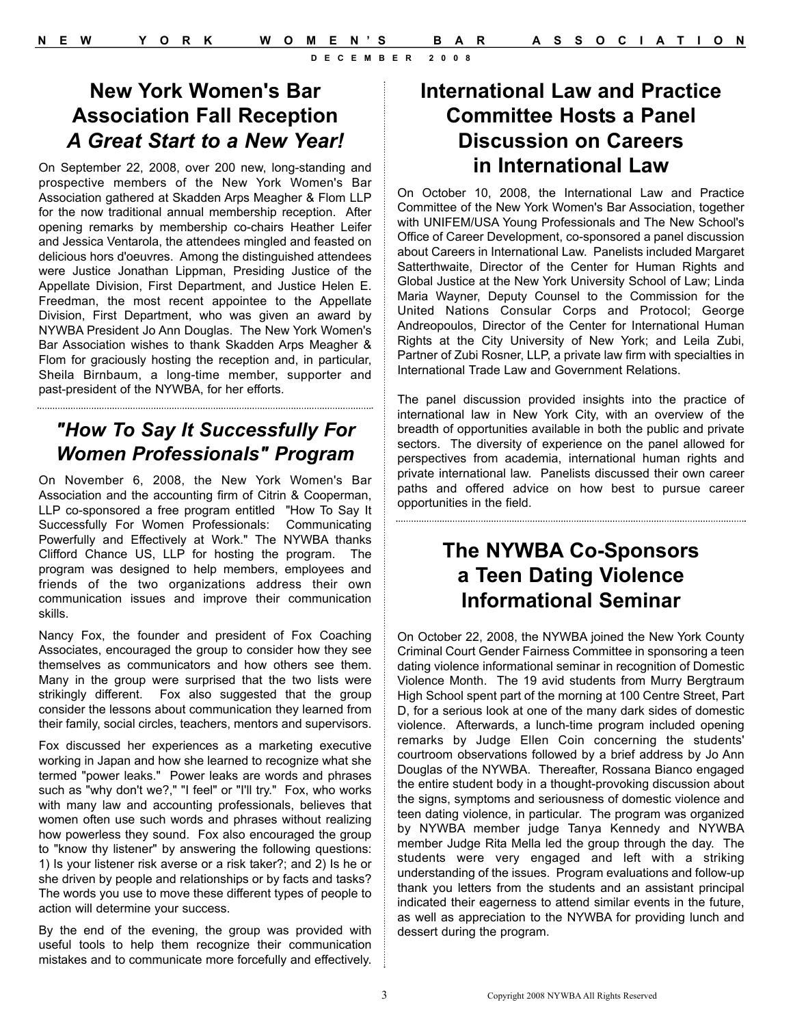## **New York Women's Bar Association Fall Reception**  *A Great Start to a New Year!*

On September 22, 2008, over 200 new, long-standing and prospective members of the New York Women's Bar Association gathered at Skadden Arps Meagher & Flom LLP for the now traditional annual membership reception. After opening remarks by membership co-chairs Heather Leifer and Jessica Ventarola, the attendees mingled and feasted on delicious hors d'oeuvres. Among the distinguished attendees were Justice Jonathan Lippman, Presiding Justice of the Appellate Division, First Department, and Justice Helen E. Freedman, the most recent appointee to the Appellate Division, First Department, who was given an award by NYWBA President Jo Ann Douglas. The New York Women's Bar Association wishes to thank Skadden Arps Meagher & Flom for graciously hosting the reception and, in particular, Sheila Birnbaum, a long-time member, supporter and past-president of the NYWBA, for her efforts.

## *"How To Say It Successfully For Women Professionals" Program*

On November 6, 2008, the New York Women's Bar Association and the accounting firm of Citrin & Cooperman, LLP co-sponsored a free program entitled "How To Say It Successfully For Women Professionals: Communicating Powerfully and Effectively at Work." The NYWBA thanks Clifford Chance US, LLP for hosting the program. The program was designed to help members, employees and friends of the two organizations address their own communication issues and improve their communication skills.

Nancy Fox, the founder and president of Fox Coaching Associates, encouraged the group to consider how they see themselves as communicators and how others see them. Many in the group were surprised that the two lists were strikingly different. Fox also suggested that the group consider the lessons about communication they learned from their family, social circles, teachers, mentors and supervisors.

Fox discussed her experiences as a marketing executive working in Japan and how she learned to recognize what she termed "power leaks." Power leaks are words and phrases such as "why don't we?," "I feel" or "I'll try." Fox, who works with many law and accounting professionals, believes that women often use such words and phrases without realizing how powerless they sound. Fox also encouraged the group to "know thy listener" by answering the following questions: 1) Is your listener risk averse or a risk taker?; and 2) Is he or she driven by people and relationships or by facts and tasks? The words you use to move these different types of people to action will determine your success.

By the end of the evening, the group was provided with useful tools to help them recognize their communication mistakes and to communicate more forcefully and effectively.

## **International Law and Practice Committee Hosts a Panel Discussion on Careers in International Law**

On October 10, 2008, the International Law and Practice Committee of the New York Women's Bar Association, together with UNIFEM/USA Young Professionals and The New School's Office of Career Development, co-sponsored a panel discussion about Careers in International Law. Panelists included Margaret Satterthwaite. Director of the Center for Human Rights and Global Justice at the New York University School of Law; Linda Maria Wayner, Deputy Counsel to the Commission for the United Nations Consular Corps and Protocol; George Andreopoulos, Director of the Center for International Human Rights at the City University of New York; and Leila Zubi, Partner of Zubi Rosner, LLP, a private law firm with specialties in International Trade Law and Government Relations.

The panel discussion provided insights into the practice of international law in New York City, with an overview of the breadth of opportunities available in both the public and private sectors. The diversity of experience on the panel allowed for perspectives from academia, international human rights and private international law. Panelists discussed their own career paths and offered advice on how best to pursue career opportunities in the field.

## **The NYWBA Co-Sponsors a Teen Dating Violence Informational Seminar**

On October 22, 2008, the NYWBA joined the New York County Criminal Court Gender Fairness Committee in sponsoring a teen dating violence informational seminar in recognition of Domestic Violence Month. The 19 avid students from Murry Bergtraum High School spent part of the morning at 100 Centre Street, Part D, for a serious look at one of the many dark sides of domestic violence. Afterwards, a lunch-time program included opening remarks by Judge Ellen Coin concerning the students' courtroom observations followed by a brief address by Jo Ann Douglas of the NYWBA. Thereafter, Rossana Bianco engaged the entire student body in a thought-provoking discussion about the signs, symptoms and seriousness of domestic violence and teen dating violence, in particular. The program was organized by NYWBA member judge Tanya Kennedy and NYWBA member Judge Rita Mella led the group through the day. The students were very engaged and left with a striking understanding of the issues. Program evaluations and follow-up thank you letters from the students and an assistant principal indicated their eagerness to attend similar events in the future, as well as appreciation to the NYWBA for providing lunch and dessert during the program.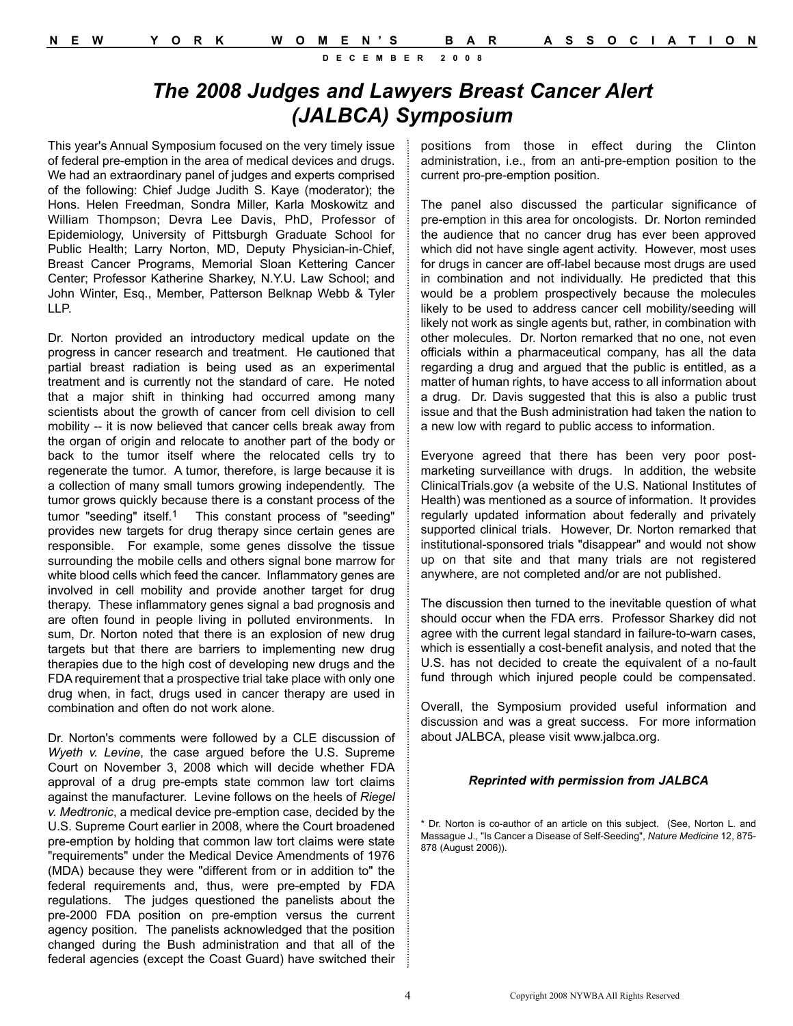## *The 2008 Judges and Lawyers Breast Cancer Alert (JALBCA) Symposium*

This year's Annual Symposium focused on the very timely issue of federal pre-emption in the area of medical devices and drugs. We had an extraordinary panel of judges and experts comprised of the following: Chief Judge Judith S. Kaye (moderator); the Hons. Helen Freedman, Sondra Miller, Karla Moskowitz and William Thompson; Devra Lee Davis, PhD, Professor of Epidemiology, University of Pittsburgh Graduate School for Public Health; Larry Norton, MD, Deputy Physician-in-Chief, Breast Cancer Programs, Memorial Sloan Kettering Cancer Center; Professor Katherine Sharkey, N.Y.U. Law School; and John Winter, Esq., Member, Patterson Belknap Webb & Tyler LLP.

Dr. Norton provided an introductory medical update on the progress in cancer research and treatment. He cautioned that partial breast radiation is being used as an experimental treatment and is currently not the standard of care. He noted that a major shift in thinking had occurred among many scientists about the growth of cancer from cell division to cell mobility -- it is now believed that cancer cells break away from the organ of origin and relocate to another part of the body or back to the tumor itself where the relocated cells try to regenerate the tumor. A tumor, therefore, is large because it is a collection of many small tumors growing independently. The tumor grows quickly because there is a constant process of the tumor "seeding" itself.1 This constant process of "seeding" provides new targets for drug therapy since certain genes are responsible. For example, some genes dissolve the tissue surrounding the mobile cells and others signal bone marrow for white blood cells which feed the cancer. Inflammatory genes are involved in cell mobility and provide another target for drug therapy. These inflammatory genes signal a bad prognosis and are often found in people living in polluted environments. In sum, Dr. Norton noted that there is an explosion of new drug targets but that there are barriers to implementing new drug therapies due to the high cost of developing new drugs and the FDA requirement that a prospective trial take place with only one drug when, in fact, drugs used in cancer therapy are used in combination and often do not work alone.

Dr. Norton's comments were followed by a CLE discussion of *Wyeth v. Levine*, the case argued before the U.S. Supreme Court on November 3, 2008 which will decide whether FDA approval of a drug pre-empts state common law tort claims against the manufacturer. Levine follows on the heels of *Riegel v. Medtronic*, a medical device pre-emption case, decided by the U.S. Supreme Court earlier in 2008, where the Court broadened pre-emption by holding that common law tort claims were state "requirements" under the Medical Device Amendments of 1976 (MDA) because they were "different from or in addition to" the federal requirements and, thus, were pre-empted by FDA regulations. The judges questioned the panelists about the pre-2000 FDA position on pre-emption versus the current agency position. The panelists acknowledged that the position changed during the Bush administration and that all of the federal agencies (except the Coast Guard) have switched their

positions from those in effect during the Clinton administration, i.e., from an anti-pre-emption position to the current pro-pre-emption position.

The panel also discussed the particular significance of pre-emption in this area for oncologists. Dr. Norton reminded the audience that no cancer drug has ever been approved which did not have single agent activity. However, most uses for drugs in cancer are off-label because most drugs are used in combination and not individually. He predicted that this would be a problem prospectively because the molecules likely to be used to address cancer cell mobility/seeding will likely not work as single agents but, rather, in combination with other molecules. Dr. Norton remarked that no one, not even officials within a pharmaceutical company, has all the data regarding a drug and argued that the public is entitled, as a matter of human rights, to have access to all information about a drug. Dr. Davis suggested that this is also a public trust issue and that the Bush administration had taken the nation to a new low with regard to public access to information.

Everyone agreed that there has been very poor postmarketing surveillance with drugs. In addition, the website ClinicalTrials.gov (a website of the U.S. National Institutes of Health) was mentioned as a source of information. It provides regularly updated information about federally and privately supported clinical trials. However, Dr. Norton remarked that institutional-sponsored trials "disappear" and would not show up on that site and that many trials are not registered anywhere, are not completed and/or are not published.

The discussion then turned to the inevitable question of what should occur when the FDA errs. Professor Sharkey did not agree with the current legal standard in failure-to-warn cases, which is essentially a cost-benefit analysis, and noted that the U.S. has not decided to create the equivalent of a no-fault fund through which injured people could be compensated.

Overall, the Symposium provided useful information and discussion and was a great success. For more information about JALBCA, please visit www.jalbca.org.

#### *Reprinted with permission from JALBCA*

\* Dr. Norton is co-author of an article on this subject. (See, Norton L. and Massague J., "Is Cancer a Disease of Self-Seeding", *Nature Medicine* 12, 875- 878 (August 2006)).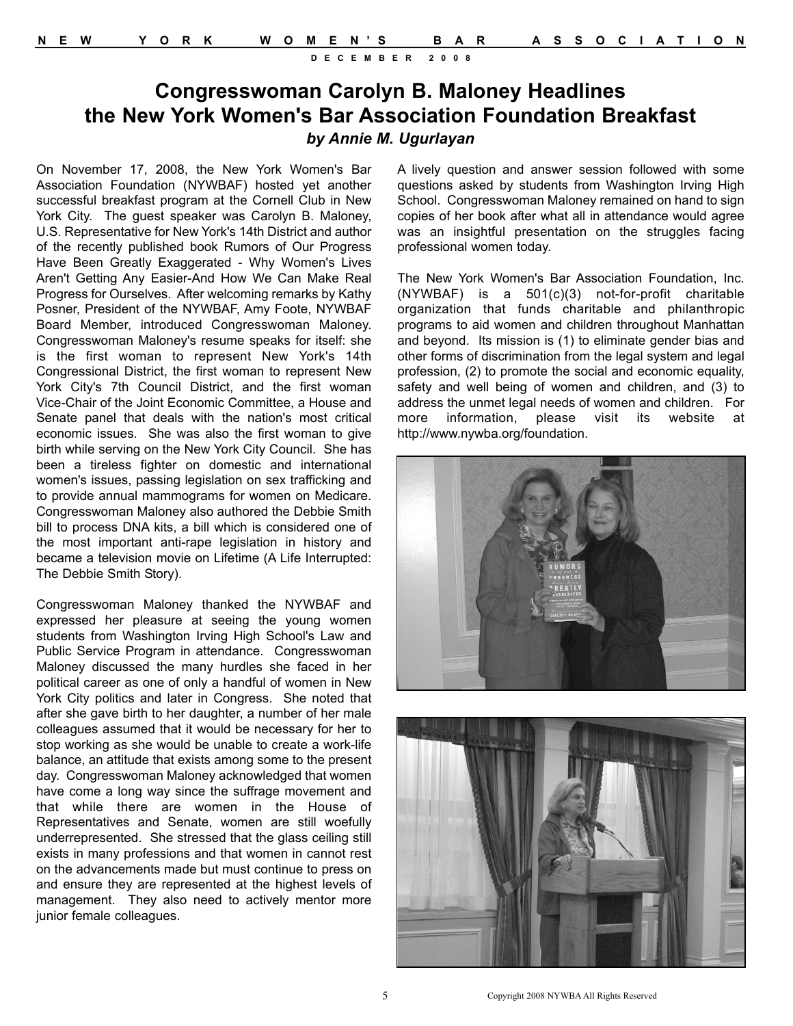## **Congresswoman Carolyn B. Maloney Headlines the New York Women's Bar Association Foundation Breakfast**  *by Annie M. Ugurlayan*

On November 17, 2008, the New York Women's Bar Association Foundation (NYWBAF) hosted yet another successful breakfast program at the Cornell Club in New York City. The guest speaker was Carolyn B. Maloney, U.S. Representative for New York's 14th District and author of the recently published book Rumors of Our Progress Have Been Greatly Exaggerated - Why Women's Lives Aren't Getting Any Easier-And How We Can Make Real Progress for Ourselves. After welcoming remarks by Kathy Posner, President of the NYWBAF, Amy Foote, NYWBAF Board Member, introduced Congresswoman Maloney. Congresswoman Maloney's resume speaks for itself: she is the first woman to represent New York's 14th Congressional District, the first woman to represent New York City's 7th Council District, and the first woman Vice-Chair of the Joint Economic Committee, a House and Senate panel that deals with the nation's most critical economic issues. She was also the first woman to give birth while serving on the New York City Council. She has been a tireless fighter on domestic and international women's issues, passing legislation on sex trafficking and to provide annual mammograms for women on Medicare. Congresswoman Maloney also authored the Debbie Smith bill to process DNA kits, a bill which is considered one of the most important anti-rape legislation in history and became a television movie on Lifetime (A Life Interrupted: The Debbie Smith Story).

Congresswoman Maloney thanked the NYWBAF and expressed her pleasure at seeing the young women students from Washington Irving High School's Law and Public Service Program in attendance. Congresswoman Maloney discussed the many hurdles she faced in her political career as one of only a handful of women in New York City politics and later in Congress. She noted that after she gave birth to her daughter, a number of her male colleagues assumed that it would be necessary for her to stop working as she would be unable to create a work-life balance, an attitude that exists among some to the present day. Congresswoman Maloney acknowledged that women have come a long way since the suffrage movement and that while there are women in the House of Representatives and Senate, women are still woefully underrepresented. She stressed that the glass ceiling still exists in many professions and that women in cannot rest on the advancements made but must continue to press on and ensure they are represented at the highest levels of management. They also need to actively mentor more junior female colleagues.

A lively question and answer session followed with some questions asked by students from Washington Irving High School. Congresswoman Maloney remained on hand to sign copies of her book after what all in attendance would agree was an insightful presentation on the struggles facing professional women today.

The New York Women's Bar Association Foundation, Inc. (NYWBAF) is a 501(c)(3) not-for-profit charitable organization that funds charitable and philanthropic programs to aid women and children throughout Manhattan and beyond. Its mission is (1) to eliminate gender bias and other forms of discrimination from the legal system and legal profession, (2) to promote the social and economic equality, safety and well being of women and children, and (3) to address the unmet legal needs of women and children. For more information, please visit its website at http://www.nywba.org/foundation.





5 Copyright 2008 NYWBA All Rights Reserved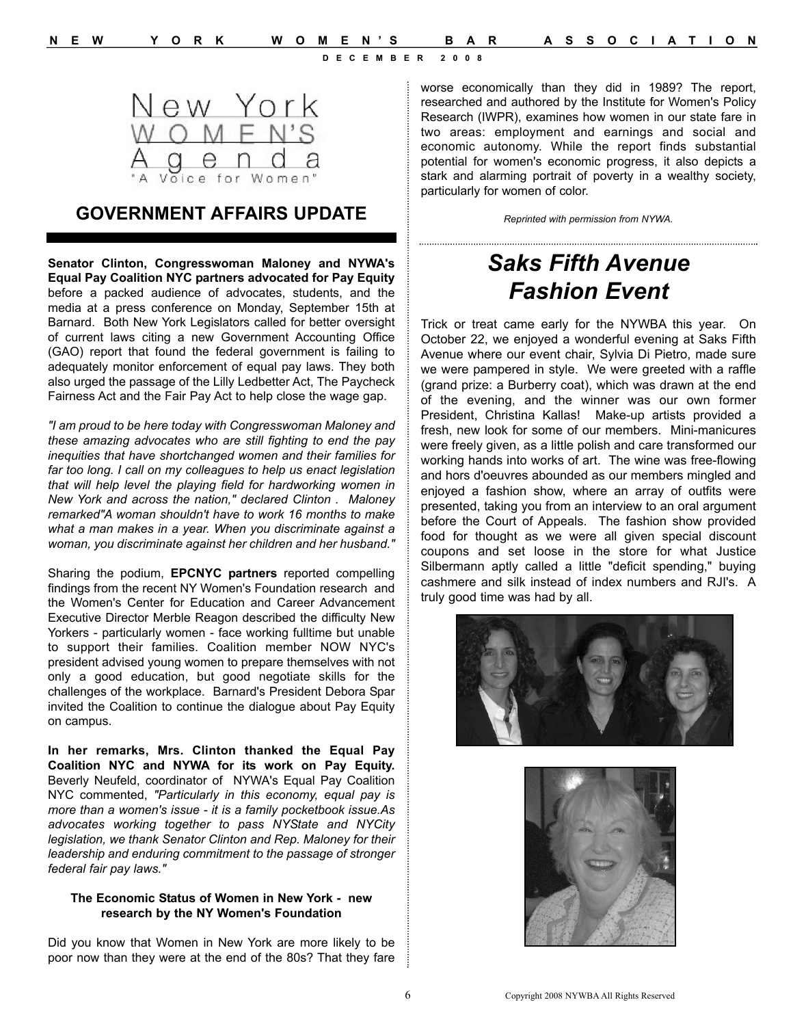

### **GOVERNMENT AFFAIRS UPDATE**

**Senator Clinton, Congresswoman Maloney and NYWA's Equal Pay Coalition NYC partners advocated for Pay Equity** before a packed audience of advocates, students, and the media at a press conference on Monday, September 15th at Barnard. Both New York Legislators called for better oversight of current laws citing a new Government Accounting Office (GAO) report that found the federal government is failing to adequately monitor enforcement of equal pay laws. They both also urged the passage of the Lilly Ledbetter Act, The Paycheck Fairness Act and the Fair Pay Act to help close the wage gap.

*"I am proud to be here today with Congresswoman Maloney and these amazing advocates who are still fighting to end the pay inequities that have shortchanged women and their families for far too long. I call on my colleagues to help us enact legislation that will help level the playing field for hardworking women in New York and across the nation," declared Clinton . Maloney remarked"A woman shouldn't have to work 16 months to make what a man makes in a year. When you discriminate against a woman, you discriminate against her children and her husband."* 

Sharing the podium, **EPCNYC partners** reported compelling findings from the recent NY Women's Foundation research and the Women's Center for Education and Career Advancement Executive Director Merble Reagon described the difficulty New Yorkers - particularly women - face working fulltime but unable to support their families. Coalition member NOW NYC's president advised young women to prepare themselves with not only a good education, but good negotiate skills for the challenges of the workplace. Barnard's President Debora Spar invited the Coalition to continue the dialogue about Pay Equity on campus.

**In her remarks, Mrs. Clinton thanked the Equal Pay Coalition NYC and NYWA for its work on Pay Equity.** Beverly Neufeld, coordinator of NYWA's Equal Pay Coalition NYC commented, *"Particularly in this economy, equal pay is more than a women's issue - it is a family pocketbook issue.As advocates working together to pass NYState and NYCity legislation, we thank Senator Clinton and Rep. Maloney for their leadership and enduring commitment to the passage of stronger federal fair pay laws."*

#### **The Economic Status of Women in New York - new research by the NY Women's Foundation**

Did you know that Women in New York are more likely to be poor now than they were at the end of the 80s? That they fare worse economically than they did in 1989? The report, researched and authored by the Institute for Women's Policy Research (IWPR), examines how women in our state fare in two areas: employment and earnings and social and economic autonomy. While the report finds substantial potential for women's economic progress, it also depicts a stark and alarming portrait of poverty in a wealthy society, particularly for women of color.

*Reprinted with permission from NYWA.*

# *Saks Fifth Avenue Fashion Event*

Trick or treat came early for the NYWBA this year. On October 22, we enjoyed a wonderful evening at Saks Fifth Avenue where our event chair, Sylvia Di Pietro, made sure we were pampered in style. We were greeted with a raffle (grand prize: a Burberry coat), which was drawn at the end of the evening, and the winner was our own former President, Christina Kallas! Make-up artists provided a fresh, new look for some of our members. Mini-manicures were freely given, as a little polish and care transformed our working hands into works of art. The wine was free-flowing and hors d'oeuvres abounded as our members mingled and enjoyed a fashion show, where an array of outfits were presented, taking you from an interview to an oral argument before the Court of Appeals. The fashion show provided food for thought as we were all given special discount coupons and set loose in the store for what Justice Silbermann aptly called a little "deficit spending," buying cashmere and silk instead of index numbers and RJI's. A truly good time was had by all.



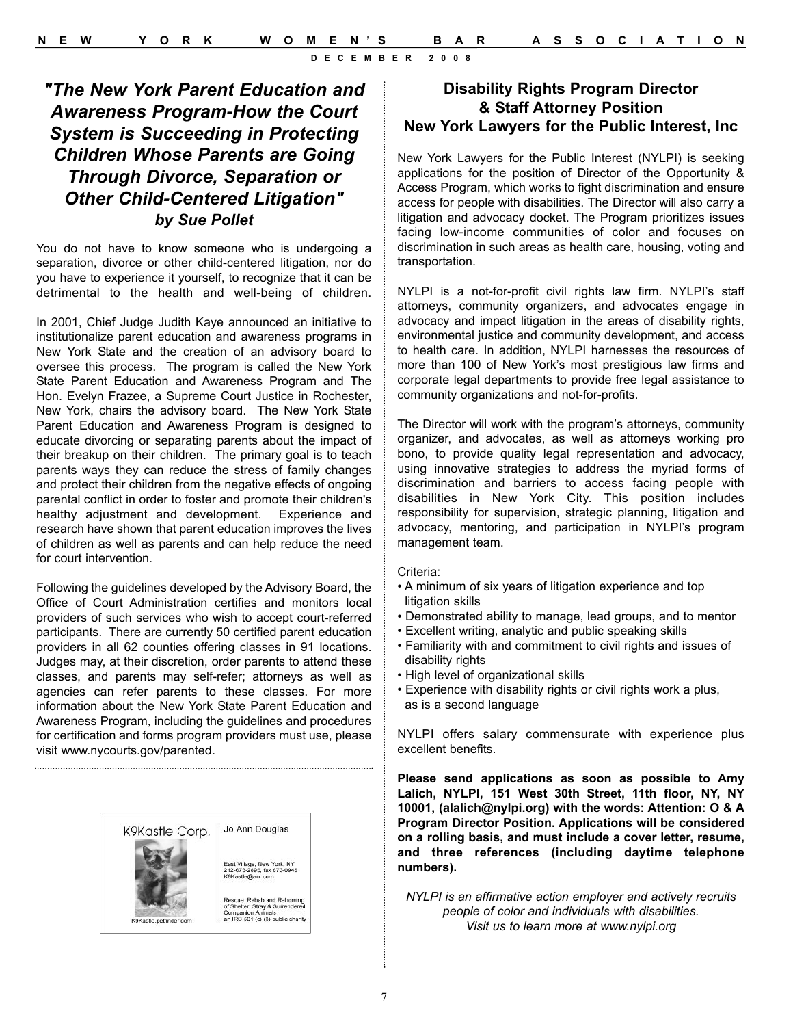### *"The New York Parent Education and Awareness Program-How the Court System is Succeeding in Protecting Children Whose Parents are Going Through Divorce, Separation or Other Child-Centered Litigation" by Sue Pollet*

You do not have to know someone who is undergoing a separation, divorce or other child-centered litigation, nor do you have to experience it yourself, to recognize that it can be detrimental to the health and well-being of children.

In 2001, Chief Judge Judith Kaye announced an initiative to institutionalize parent education and awareness programs in New York State and the creation of an advisory board to oversee this process. The program is called the New York State Parent Education and Awareness Program and The Hon. Evelyn Frazee, a Supreme Court Justice in Rochester, New York, chairs the advisory board. The New York State Parent Education and Awareness Program is designed to educate divorcing or separating parents about the impact of their breakup on their children. The primary goal is to teach parents ways they can reduce the stress of family changes and protect their children from the negative effects of ongoing parental conflict in order to foster and promote their children's healthy adjustment and development. Experience and research have shown that parent education improves the lives of children as well as parents and can help reduce the need for court intervention.

Following the guidelines developed by the Advisory Board, the Office of Court Administration certifies and monitors local providers of such services who wish to accept court-referred participants. There are currently 50 certified parent education providers in all 62 counties offering classes in 91 locations. Judges may, at their discretion, order parents to attend these classes, and parents may self-refer; attorneys as well as agencies can refer parents to these classes. For more information about the New York State Parent Education and Awareness Program, including the guidelines and procedures for certification and forms program providers must use, please visit www.nycourts.gov/parented.



#### **Disability Rights Program Director & Staff Attorney Position New York Lawyers for the Public Interest, Inc**

New York Lawyers for the Public Interest (NYLPI) is seeking applications for the position of Director of the Opportunity & Access Program, which works to fight discrimination and ensure access for people with disabilities. The Director will also carry a litigation and advocacy docket. The Program prioritizes issues facing low-income communities of color and focuses on discrimination in such areas as health care, housing, voting and transportation.

NYLPI is a not-for-profit civil rights law firm. NYLPI's staff attorneys, community organizers, and advocates engage in advocacy and impact litigation in the areas of disability rights, environmental justice and community development, and access to health care. In addition, NYLPI harnesses the resources of more than 100 of New York's most prestigious law firms and corporate legal departments to provide free legal assistance to community organizations and not-for-profits.

The Director will work with the program's attorneys, community organizer, and advocates, as well as attorneys working pro bono, to provide quality legal representation and advocacy, using innovative strategies to address the myriad forms of discrimination and barriers to access facing people with disabilities in New York City. This position includes responsibility for supervision, strategic planning, litigation and advocacy, mentoring, and participation in NYLPI's program management team.

#### Criteria:

- A minimum of six years of litigation experience and top litigation skills
- Demonstrated ability to manage, lead groups, and to mentor
- Excellent writing, analytic and public speaking skills
- Familiarity with and commitment to civil rights and issues of disability rights
- High level of organizational skills
- Experience with disability rights or civil rights work a plus, as is a second language

NYLPI offers salary commensurate with experience plus excellent benefits.

**Please send applications as soon as possible to Amy Lalich, NYLPI, 151 West 30th Street, 11th floor, NY, NY 10001, (alalich@nylpi.org) with the words: Attention: O & A Program Director Position. Applications will be considered on a rolling basis, and must include a cover letter, resume, and three references (including daytime telephone numbers).**

*NYLPI is an affirmative action employer and actively recruits people of color and individuals with disabilities. Visit us to learn more at www.nylpi.org*